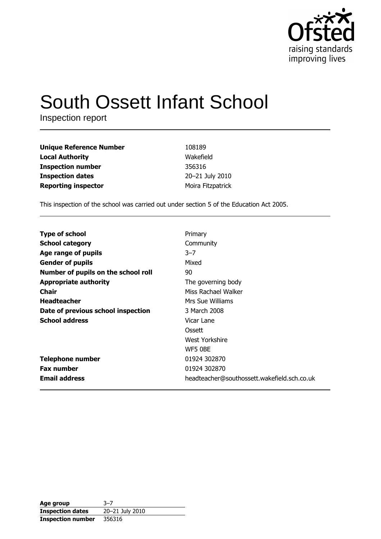

# South Ossett Infant School

Inspection report

| <b>Unique Reference Number</b> | 108189            |
|--------------------------------|-------------------|
| <b>Local Authority</b>         | Wakefield         |
| <b>Inspection number</b>       | 356316            |
| <b>Inspection dates</b>        | 20-21 July 2010   |
| <b>Reporting inspector</b>     | Moira Fitzpatrick |

This inspection of the school was carried out under section 5 of the Education Act 2005.

| <b>Type of school</b>               | Primary                                     |
|-------------------------------------|---------------------------------------------|
| <b>School category</b>              | Community                                   |
|                                     |                                             |
| Age range of pupils                 | $3 - 7$                                     |
| <b>Gender of pupils</b>             | Mixed                                       |
| Number of pupils on the school roll | 90                                          |
| <b>Appropriate authority</b>        | The governing body                          |
| Chair                               | Miss Rachael Walker                         |
| <b>Headteacher</b>                  | Mrs Sue Williams                            |
| Date of previous school inspection  | 3 March 2008                                |
| <b>School address</b>               | Vicar Lane                                  |
|                                     | Ossett                                      |
|                                     | West Yorkshire                              |
|                                     | WF5 0BE                                     |
| <b>Telephone number</b>             | 01924 302870                                |
| <b>Fax number</b>                   | 01924 302870                                |
| <b>Email address</b>                | headteacher@southossett.wakefield.sch.co.uk |

i.

| Age group                | $3 - 7$         |
|--------------------------|-----------------|
| <b>Inspection dates</b>  | 20-21 July 2010 |
| <b>Inspection number</b> | 356316          |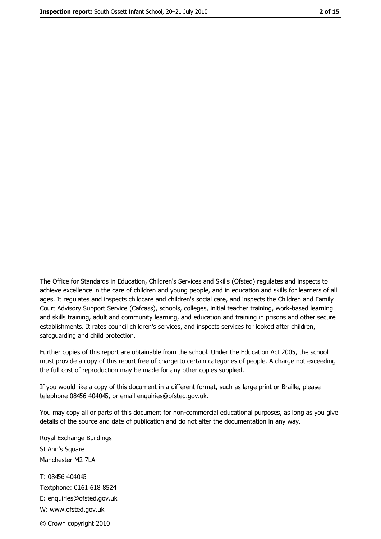The Office for Standards in Education, Children's Services and Skills (Ofsted) regulates and inspects to achieve excellence in the care of children and young people, and in education and skills for learners of all ages. It regulates and inspects childcare and children's social care, and inspects the Children and Family Court Advisory Support Service (Cafcass), schools, colleges, initial teacher training, work-based learning and skills training, adult and community learning, and education and training in prisons and other secure establishments. It rates council children's services, and inspects services for looked after children, safequarding and child protection.

Further copies of this report are obtainable from the school. Under the Education Act 2005, the school must provide a copy of this report free of charge to certain categories of people. A charge not exceeding the full cost of reproduction may be made for any other copies supplied.

If you would like a copy of this document in a different format, such as large print or Braille, please telephone 08456 404045, or email enquiries@ofsted.gov.uk.

You may copy all or parts of this document for non-commercial educational purposes, as long as you give details of the source and date of publication and do not alter the documentation in any way.

Royal Exchange Buildings St Ann's Square Manchester M2 7LA T: 08456 404045 Textphone: 0161 618 8524 E: enquiries@ofsted.gov.uk W: www.ofsted.gov.uk © Crown copyright 2010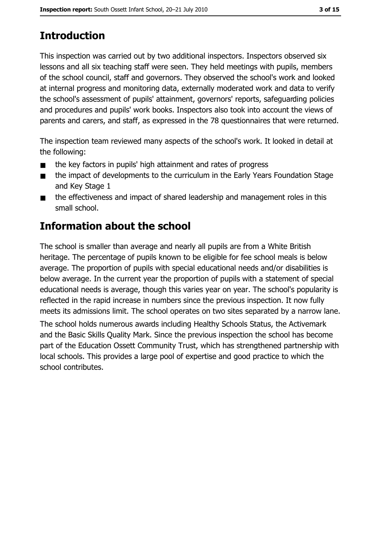# **Introduction**

This inspection was carried out by two additional inspectors. Inspectors observed six lessons and all six teaching staff were seen. They held meetings with pupils, members of the school council, staff and governors. They observed the school's work and looked at internal progress and monitoring data, externally moderated work and data to verify the school's assessment of pupils' attainment, governors' reports, safeguarding policies and procedures and pupils' work books. Inspectors also took into account the views of parents and carers, and staff, as expressed in the 78 questionnaires that were returned.

The inspection team reviewed many aspects of the school's work. It looked in detail at the following:

- the key factors in pupils' high attainment and rates of progress  $\blacksquare$
- the impact of developments to the curriculum in the Early Years Foundation Stage  $\blacksquare$ and Key Stage 1
- the effectiveness and impact of shared leadership and management roles in this  $\blacksquare$ small school.

# **Information about the school**

The school is smaller than average and nearly all pupils are from a White British heritage. The percentage of pupils known to be eligible for fee school meals is below average. The proportion of pupils with special educational needs and/or disabilities is below average. In the current year the proportion of pupils with a statement of special educational needs is average, though this varies year on year. The school's popularity is reflected in the rapid increase in numbers since the previous inspection. It now fully meets its admissions limit. The school operates on two sites separated by a narrow lane.

The school holds numerous awards including Healthy Schools Status, the Activemark and the Basic Skills Quality Mark. Since the previous inspection the school has become part of the Education Ossett Community Trust, which has strengthened partnership with local schools. This provides a large pool of expertise and good practice to which the school contributes.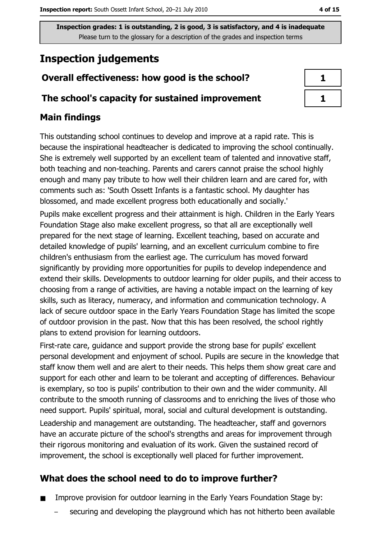# **Inspection judgements**

## Overall effectiveness: how good is the school?

#### The school's capacity for sustained improvement

## **Main findings**

This outstanding school continues to develop and improve at a rapid rate. This is because the inspirational headteacher is dedicated to improving the school continually. She is extremely well supported by an excellent team of talented and innovative staff, both teaching and non-teaching. Parents and carers cannot praise the school highly enough and many pay tribute to how well their children learn and are cared for, with comments such as: 'South Ossett Infants is a fantastic school. My daughter has blossomed, and made excellent progress both educationally and socially.

Pupils make excellent progress and their attainment is high. Children in the Early Years Foundation Stage also make excellent progress, so that all are exceptionally well prepared for the next stage of learning. Excellent teaching, based on accurate and detailed knowledge of pupils' learning, and an excellent curriculum combine to fire children's enthusiasm from the earliest age. The curriculum has moved forward significantly by providing more opportunities for pupils to develop independence and extend their skills. Developments to outdoor learning for older pupils, and their access to choosing from a range of activities, are having a notable impact on the learning of key skills, such as literacy, numeracy, and information and communication technology. A lack of secure outdoor space in the Early Years Foundation Stage has limited the scope of outdoor provision in the past. Now that this has been resolved, the school rightly plans to extend provision for learning outdoors.

First-rate care, guidance and support provide the strong base for pupils' excellent personal development and enjoyment of school. Pupils are secure in the knowledge that staff know them well and are alert to their needs. This helps them show great care and support for each other and learn to be tolerant and accepting of differences. Behaviour is exemplary, so too is pupils' contribution to their own and the wider community. All contribute to the smooth running of classrooms and to enriching the lives of those who need support. Pupils' spiritual, moral, social and cultural development is outstanding. Leadership and management are outstanding. The headteacher, staff and governors have an accurate picture of the school's strengths and areas for improvement through their rigorous monitoring and evaluation of its work. Given the sustained record of improvement, the school is exceptionally well placed for further improvement.

## What does the school need to do to improve further?

- Improve provision for outdoor learning in the Early Years Foundation Stage by:
	- securing and developing the playground which has not hitherto been available

| I<br>H |
|--------|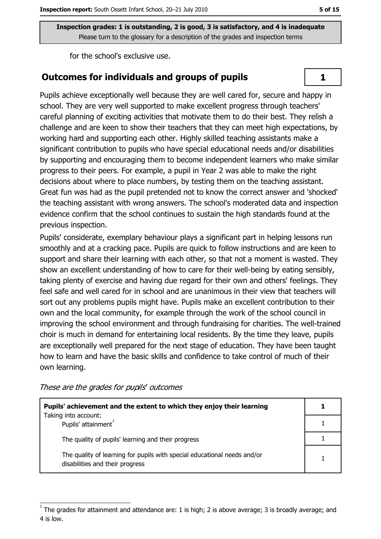for the school's exclusive use.

#### Outcomes for individuals and groups of pupils

Pupils achieve exceptionally well because they are well cared for, secure and happy in school. They are very well supported to make excellent progress through teachers' careful planning of exciting activities that motivate them to do their best. They relish a challenge and are keen to show their teachers that they can meet high expectations, by working hard and supporting each other. Highly skilled teaching assistants make a significant contribution to pupils who have special educational needs and/or disabilities by supporting and encouraging them to become independent learners who make similar progress to their peers. For example, a pupil in Year 2 was able to make the right decisions about where to place numbers, by testing them on the teaching assistant. Great fun was had as the pupil pretended not to know the correct answer and 'shocked' the teaching assistant with wrong answers. The school's moderated data and inspection evidence confirm that the school continues to sustain the high standards found at the previous inspection.

Pupils' considerate, exemplary behaviour plays a significant part in helping lessons run smoothly and at a cracking pace. Pupils are quick to follow instructions and are keen to support and share their learning with each other, so that not a moment is wasted. They show an excellent understanding of how to care for their well-being by eating sensibly, taking plenty of exercise and having due regard for their own and others' feelings. They feel safe and well cared for in school and are unanimous in their view that teachers will sort out any problems pupils might have. Pupils make an excellent contribution to their own and the local community, for example through the work of the school council in improving the school environment and through fundraising for charities. The well-trained choir is much in demand for entertaining local residents. By the time they leave, pupils are exceptionally well prepared for the next stage of education. They have been taught how to learn and have the basic skills and confidence to take control of much of their own learning.

These are the grades for pupils' outcomes

| Pupils' achievement and the extent to which they enjoy their learning                                       |  |
|-------------------------------------------------------------------------------------------------------------|--|
| Taking into account:<br>Pupils' attainment <sup>1</sup>                                                     |  |
| The quality of pupils' learning and their progress                                                          |  |
| The quality of learning for pupils with special educational needs and/or<br>disabilities and their progress |  |

 $\mathbf{1}$ 

The grades for attainment and attendance are: 1 is high; 2 is above average; 3 is broadly average; and 4 is low.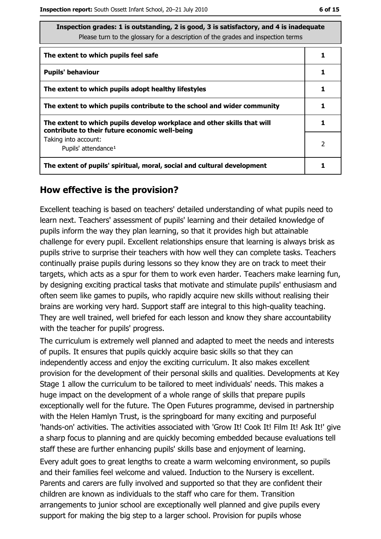| Inspection grades: 1 is outstanding, 2 is good, 3 is satisfactory, and 4 is inadequate<br>Please turn to the glossary for a description of the grades and inspection terms |                |
|----------------------------------------------------------------------------------------------------------------------------------------------------------------------------|----------------|
| The extent to which pupils feel safe                                                                                                                                       | 1              |
| <b>Pupils' behaviour</b>                                                                                                                                                   | 1              |
| The extent to which pupils adopt healthy lifestyles                                                                                                                        |                |
| The extent to which pupils contribute to the school and wider community                                                                                                    |                |
| The extent to which pupils develop workplace and other skills that will<br>contribute to their future economic well-being                                                  | 1              |
| Taking into account:<br>Pupils' attendance <sup>1</sup>                                                                                                                    | $\overline{2}$ |
| The extent of pupils' spiritual, moral, social and cultural development                                                                                                    |                |

#### How effective is the provision?

Excellent teaching is based on teachers' detailed understanding of what pupils need to learn next. Teachers' assessment of pupils' learning and their detailed knowledge of pupils inform the way they plan learning, so that it provides high but attainable challenge for every pupil. Excellent relationships ensure that learning is always brisk as pupils strive to surprise their teachers with how well they can complete tasks. Teachers continually praise pupils during lessons so they know they are on track to meet their targets, which acts as a spur for them to work even harder. Teachers make learning fun, by designing exciting practical tasks that motivate and stimulate pupils' enthusiasm and often seem like games to pupils, who rapidly acquire new skills without realising their brains are working very hard. Support staff are integral to this high-quality teaching. They are well trained, well briefed for each lesson and know they share accountability with the teacher for pupils' progress.

The curriculum is extremely well planned and adapted to meet the needs and interests of pupils. It ensures that pupils quickly acquire basic skills so that they can independently access and enjoy the exciting curriculum. It also makes excellent provision for the development of their personal skills and qualities. Developments at Key Stage 1 allow the curriculum to be tailored to meet individuals' needs. This makes a huge impact on the development of a whole range of skills that prepare pupils exceptionally well for the future. The Open Futures programme, devised in partnership with the Helen Hamlyn Trust, is the springboard for many exciting and purposeful "hands-on" activities. The activities associated with 'Grow It! Cook It! Film It! Ask It!' give a sharp focus to planning and are quickly becoming embedded because evaluations tell staff these are further enhancing pupils' skills base and enjoyment of learning.

Every adult goes to great lengths to create a warm welcoming environment, so pupils and their families feel welcome and valued. Induction to the Nursery is excellent. Parents and carers are fully involved and supported so that they are confident their children are known as individuals to the staff who care for them. Transition arrangements to junior school are exceptionally well planned and give pupils every support for making the big step to a larger school. Provision for pupils whose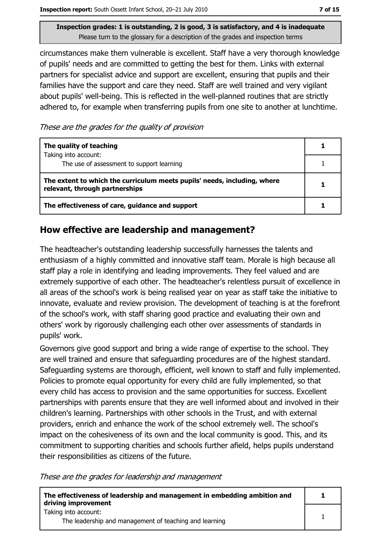circumstances make them vulnerable is excellent. Staff have a very thorough knowledge of pupils' needs and are committed to getting the best for them. Links with external partners for specialist advice and support are excellent, ensuring that pupils and their families have the support and care they need. Staff are well trained and very vigilant about pupils' well-being. This is reflected in the well-planned routines that are strictly adhered to, for example when transferring pupils from one site to another at lunchtime.

These are the grades for the quality of provision

| The quality of teaching                                                                                    |  |
|------------------------------------------------------------------------------------------------------------|--|
| Taking into account:<br>The use of assessment to support learning                                          |  |
| The extent to which the curriculum meets pupils' needs, including, where<br>relevant, through partnerships |  |
| The effectiveness of care, guidance and support                                                            |  |

#### How effective are leadership and management?

The headteacher's outstanding leadership successfully harnesses the talents and enthusiasm of a highly committed and innovative staff team. Morale is high because all staff play a role in identifying and leading improvements. They feel valued and are extremely supportive of each other. The headteacher's relentless pursuit of excellence in all areas of the school's work is being realised year on year as staff take the initiative to innovate, evaluate and review provision. The development of teaching is at the forefront of the school's work, with staff sharing good practice and evaluating their own and others' work by rigorously challenging each other over assessments of standards in pupils' work.

Governors give good support and bring a wide range of expertise to the school. They are well trained and ensure that safeguarding procedures are of the highest standard. Safeguarding systems are thorough, efficient, well known to staff and fully implemented. Policies to promote equal opportunity for every child are fully implemented, so that every child has access to provision and the same opportunities for success. Excellent partnerships with parents ensure that they are well informed about and involved in their children's learning. Partnerships with other schools in the Trust, and with external providers, enrich and enhance the work of the school extremely well. The school's impact on the cohesiveness of its own and the local community is good. This, and its commitment to supporting charities and schools further afield, helps pupils understand their responsibilities as citizens of the future.

These are the grades for leadership and management

| The effectiveness of leadership and management in embedding ambition and<br>driving improvement |  |
|-------------------------------------------------------------------------------------------------|--|
| Taking into account:                                                                            |  |
| The leadership and management of teaching and learning                                          |  |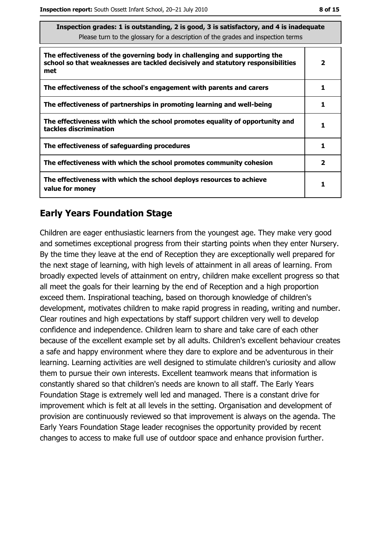| Inspection grades: 1 is outstanding, 2 is good, 3 is satisfactory, and 4 is inadequate<br>Please turn to the glossary for a description of the grades and inspection terms |   |
|----------------------------------------------------------------------------------------------------------------------------------------------------------------------------|---|
| The effectiveness of the governing body in challenging and supporting the<br>school so that weaknesses are tackled decisively and statutory responsibilities<br>met        | 2 |
| The effectiveness of the school's engagement with parents and carers                                                                                                       |   |
| The effectiveness of partnerships in promoting learning and well-being                                                                                                     |   |
| The effectiveness with which the school promotes equality of opportunity and<br>tackles discrimination                                                                     |   |
| The effectiveness of safeguarding procedures                                                                                                                               |   |

The effectiveness with which the school promotes community cohesion The effectiveness with which the school deploys resources to achieve value for monev

## **Early Years Foundation Stage**

Children are eager enthusiastic learners from the youngest age. They make very good and sometimes exceptional progress from their starting points when they enter Nursery. By the time they leave at the end of Reception they are exceptionally well prepared for the next stage of learning, with high levels of attainment in all areas of learning. From broadly expected levels of attainment on entry, children make excellent progress so that all meet the goals for their learning by the end of Reception and a high proportion exceed them. Inspirational teaching, based on thorough knowledge of children's development, motivates children to make rapid progress in reading, writing and number. Clear routines and high expectations by staff support children very well to develop confidence and independence. Children learn to share and take care of each other because of the excellent example set by all adults. Children's excellent behaviour creates a safe and happy environment where they dare to explore and be adventurous in their learning. Learning activities are well designed to stimulate children's curiosity and allow them to pursue their own interests. Excellent teamwork means that information is constantly shared so that children's needs are known to all staff. The Early Years Foundation Stage is extremely well led and managed. There is a constant drive for improvement which is felt at all levels in the setting. Organisation and development of provision are continuously reviewed so that improvement is always on the agenda. The Early Years Foundation Stage leader recognises the opportunity provided by recent changes to access to make full use of outdoor space and enhance provision further.

 $\overline{2}$ 

 $\mathbf{1}$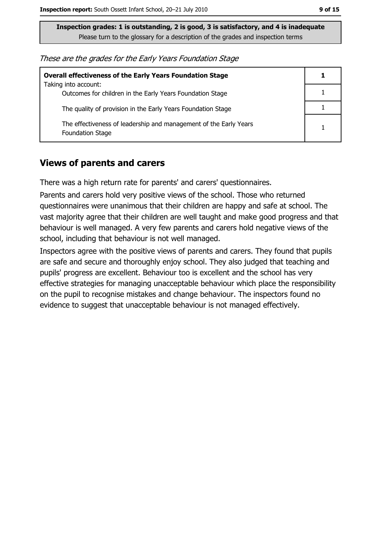These are the grades for the Early Years Foundation Stage

| <b>Overall effectiveness of the Early Years Foundation Stage</b><br>Taking into account:     |   |
|----------------------------------------------------------------------------------------------|---|
| Outcomes for children in the Early Years Foundation Stage                                    |   |
| The quality of provision in the Early Years Foundation Stage                                 |   |
| The effectiveness of leadership and management of the Early Years<br><b>Foundation Stage</b> | 1 |

#### **Views of parents and carers**

There was a high return rate for parents' and carers' questionnaires.

Parents and carers hold very positive views of the school. Those who returned questionnaires were unanimous that their children are happy and safe at school. The vast majority agree that their children are well taught and make good progress and that behaviour is well managed. A very few parents and carers hold negative views of the school, including that behaviour is not well managed.

Inspectors agree with the positive views of parents and carers. They found that pupils are safe and secure and thoroughly enjoy school. They also judged that teaching and pupils' progress are excellent. Behaviour too is excellent and the school has very effective strategies for managing unacceptable behaviour which place the responsibility on the pupil to recognise mistakes and change behaviour. The inspectors found no evidence to suggest that unacceptable behaviour is not managed effectively.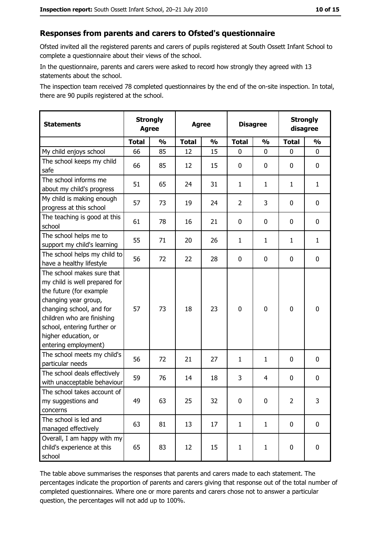#### Responses from parents and carers to Ofsted's questionnaire

Ofsted invited all the registered parents and carers of pupils registered at South Ossett Infant School to complete a questionnaire about their views of the school.

In the questionnaire, parents and carers were asked to record how strongly they agreed with 13 statements about the school.

The inspection team received 78 completed questionnaires by the end of the on-site inspection. In total, there are 90 pupils registered at the school.

| <b>Statements</b>                                                                                                                                                                                                                                       |              | <b>Strongly</b><br><b>Agree</b><br><b>Agree</b> |              | <b>Disagree</b> |                | <b>Strongly</b><br>disagree |                |               |
|---------------------------------------------------------------------------------------------------------------------------------------------------------------------------------------------------------------------------------------------------------|--------------|-------------------------------------------------|--------------|-----------------|----------------|-----------------------------|----------------|---------------|
|                                                                                                                                                                                                                                                         | <b>Total</b> | $\mathbf{O}/\mathbf{O}$                         | <b>Total</b> | $\frac{0}{0}$   | <b>Total</b>   | $\frac{0}{0}$               | <b>Total</b>   | $\frac{9}{6}$ |
| My child enjoys school                                                                                                                                                                                                                                  | 66           | 85                                              | 12           | 15              | 0              | 0                           | $\Omega$       | 0             |
| The school keeps my child<br>safe                                                                                                                                                                                                                       | 66           | 85                                              | 12           | 15              | $\mathbf 0$    | 0                           | $\mathbf{0}$   | 0             |
| The school informs me<br>about my child's progress                                                                                                                                                                                                      | 51           | 65                                              | 24           | 31              | $\mathbf{1}$   | 1                           | 1              | $\mathbf{1}$  |
| My child is making enough<br>progress at this school                                                                                                                                                                                                    | 57           | 73                                              | 19           | 24              | $\overline{2}$ | 3                           | 0              | 0             |
| The teaching is good at this<br>school                                                                                                                                                                                                                  | 61           | 78                                              | 16           | 21              | $\mathbf 0$    | 0                           | 0              | 0             |
| The school helps me to<br>support my child's learning                                                                                                                                                                                                   | 55           | 71                                              | 20           | 26              | $\mathbf{1}$   | $\mathbf{1}$                | 1              | $\mathbf{1}$  |
| The school helps my child to<br>have a healthy lifestyle                                                                                                                                                                                                | 56           | 72                                              | 22           | 28              | $\mathbf 0$    | 0                           | 0              | 0             |
| The school makes sure that<br>my child is well prepared for<br>the future (for example<br>changing year group,<br>changing school, and for<br>children who are finishing<br>school, entering further or<br>higher education, or<br>entering employment) | 57           | 73                                              | 18           | 23              | $\mathbf 0$    | 0                           | 0              | 0             |
| The school meets my child's<br>particular needs                                                                                                                                                                                                         | 56           | 72                                              | 21           | 27              | $\mathbf{1}$   | $\mathbf{1}$                | 0              | 0             |
| The school deals effectively<br>with unacceptable behaviour                                                                                                                                                                                             | 59           | 76                                              | 14           | 18              | 3              | 4                           | 0              | 0             |
| The school takes account of<br>my suggestions and<br>concerns                                                                                                                                                                                           | 49           | 63                                              | 25           | 32              | 0              | 0                           | $\overline{2}$ | 3             |
| The school is led and<br>managed effectively                                                                                                                                                                                                            | 63           | 81                                              | 13           | 17              | $\mathbf{1}$   | $\mathbf{1}$                | 0              | $\mathbf 0$   |
| Overall, I am happy with my<br>child's experience at this<br>school                                                                                                                                                                                     | 65           | 83                                              | 12           | 15              | $\mathbf{1}$   | $\mathbf{1}$                | $\mathbf 0$    | 0             |

The table above summarises the responses that parents and carers made to each statement. The percentages indicate the proportion of parents and carers giving that response out of the total number of completed questionnaires. Where one or more parents and carers chose not to answer a particular question, the percentages will not add up to 100%.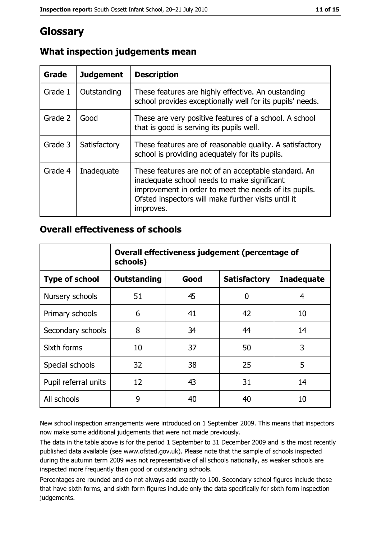# Glossary

| Grade   | <b>Judgement</b> | <b>Description</b>                                                                                                                                                                                                               |
|---------|------------------|----------------------------------------------------------------------------------------------------------------------------------------------------------------------------------------------------------------------------------|
| Grade 1 | Outstanding      | These features are highly effective. An oustanding<br>school provides exceptionally well for its pupils' needs.                                                                                                                  |
| Grade 2 | Good             | These are very positive features of a school. A school<br>that is good is serving its pupils well.                                                                                                                               |
| Grade 3 | Satisfactory     | These features are of reasonable quality. A satisfactory<br>school is providing adequately for its pupils.                                                                                                                       |
| Grade 4 | Inadequate       | These features are not of an acceptable standard. An<br>inadequate school needs to make significant<br>improvement in order to meet the needs of its pupils.<br>Ofsted inspectors will make further visits until it<br>improves. |

## What inspection judgements mean

## **Overall effectiveness of schools**

|                       | Overall effectiveness judgement (percentage of<br>schools) |      |                     |                   |
|-----------------------|------------------------------------------------------------|------|---------------------|-------------------|
| <b>Type of school</b> | <b>Outstanding</b>                                         | Good | <b>Satisfactory</b> | <b>Inadequate</b> |
| Nursery schools       | 51                                                         | 45   | 0                   | 4                 |
| Primary schools       | 6                                                          | 41   | 42                  | 10                |
| Secondary schools     | 8                                                          | 34   | 44                  | 14                |
| Sixth forms           | 10                                                         | 37   | 50                  | 3                 |
| Special schools       | 32                                                         | 38   | 25                  | 5                 |
| Pupil referral units  | 12                                                         | 43   | 31                  | 14                |
| All schools           | 9                                                          | 40   | 40                  | 10                |

New school inspection arrangements were introduced on 1 September 2009. This means that inspectors now make some additional judgements that were not made previously.

The data in the table above is for the period 1 September to 31 December 2009 and is the most recently published data available (see www.ofsted.gov.uk). Please note that the sample of schools inspected during the autumn term 2009 was not representative of all schools nationally, as weaker schools are inspected more frequently than good or outstanding schools.

Percentages are rounded and do not always add exactly to 100. Secondary school figures include those that have sixth forms, and sixth form figures include only the data specifically for sixth form inspection judgements.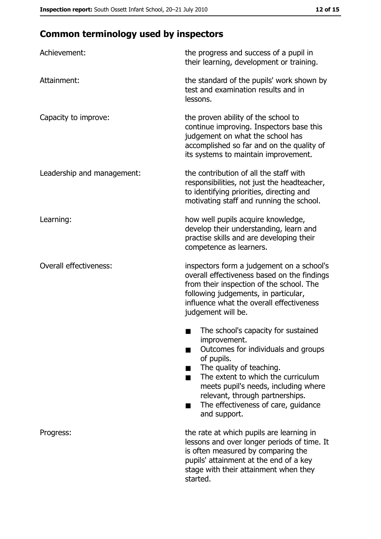# **Common terminology used by inspectors**

| Achievement:                  | the progress and success of a pupil in<br>their learning, development or training.                                                                                                                                                                                                                           |  |  |
|-------------------------------|--------------------------------------------------------------------------------------------------------------------------------------------------------------------------------------------------------------------------------------------------------------------------------------------------------------|--|--|
| Attainment:                   | the standard of the pupils' work shown by<br>test and examination results and in<br>lessons.                                                                                                                                                                                                                 |  |  |
| Capacity to improve:          | the proven ability of the school to<br>continue improving. Inspectors base this<br>judgement on what the school has<br>accomplished so far and on the quality of<br>its systems to maintain improvement.                                                                                                     |  |  |
| Leadership and management:    | the contribution of all the staff with<br>responsibilities, not just the headteacher,<br>to identifying priorities, directing and<br>motivating staff and running the school.                                                                                                                                |  |  |
| Learning:                     | how well pupils acquire knowledge,<br>develop their understanding, learn and<br>practise skills and are developing their<br>competence as learners.                                                                                                                                                          |  |  |
| <b>Overall effectiveness:</b> | inspectors form a judgement on a school's<br>overall effectiveness based on the findings<br>from their inspection of the school. The<br>following judgements, in particular,<br>influence what the overall effectiveness<br>judgement will be.                                                               |  |  |
|                               | The school's capacity for sustained<br>improvement.<br>Outcomes for individuals and groups<br>of pupils.<br>The quality of teaching.<br>The extent to which the curriculum<br>meets pupil's needs, including where<br>relevant, through partnerships.<br>The effectiveness of care, guidance<br>and support. |  |  |
| Progress:                     | the rate at which pupils are learning in<br>lessons and over longer periods of time. It<br>is often measured by comparing the<br>pupils' attainment at the end of a key<br>stage with their attainment when they<br>started.                                                                                 |  |  |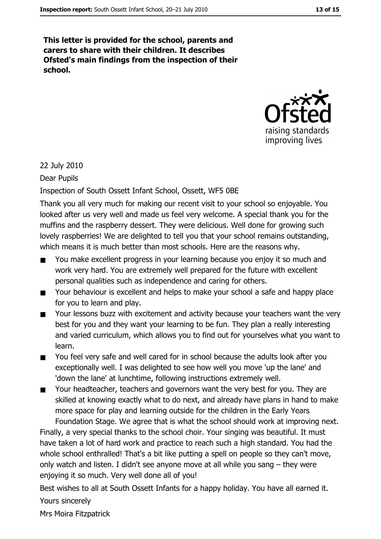This letter is provided for the school, parents and carers to share with their children. It describes Ofsted's main findings from the inspection of their school.



#### 22 July 2010

#### Dear Pupils

#### Inspection of South Ossett Infant School, Ossett, WF5 0BE

Thank you all very much for making our recent visit to your school so enjoyable. You looked after us very well and made us feel very welcome. A special thank you for the muffins and the raspberry dessert. They were delicious. Well done for growing such lovely raspberries! We are delighted to tell you that your school remains outstanding, which means it is much better than most schools. Here are the reasons why.

- You make excellent progress in your learning because you enjoy it so much and work very hard. You are extremely well prepared for the future with excellent personal qualities such as independence and caring for others.
- Your behaviour is excellent and helps to make your school a safe and happy place  $\blacksquare$ for you to learn and play.
- Your lessons buzz with excitement and activity because your teachers want the very  $\blacksquare$ best for you and they want your learning to be fun. They plan a really interesting and varied curriculum, which allows you to find out for yourselves what you want to learn.
- You feel very safe and well cared for in school because the adults look after you  $\blacksquare$ exceptionally well. I was delighted to see how well you move 'up the lane' and 'down the lane' at lunchtime, following instructions extremely well.
- Your headteacher, teachers and governors want the very best for you. They are  $\blacksquare$ skilled at knowing exactly what to do next, and already have plans in hand to make more space for play and learning outside for the children in the Early Years Foundation Stage. We agree that is what the school should work at improving next.

Finally, a very special thanks to the school choir. Your singing was beautiful. It must have taken a lot of hard work and practice to reach such a high standard. You had the whole school enthralled! That's a bit like putting a spell on people so they can't move, only watch and listen. I didn't see anyone move at all while you sang - they were enjoying it so much. Very well done all of you!

Best wishes to all at South Ossett Infants for a happy holiday. You have all earned it. Yours sincerely

Mrs Moira Fitzpatrick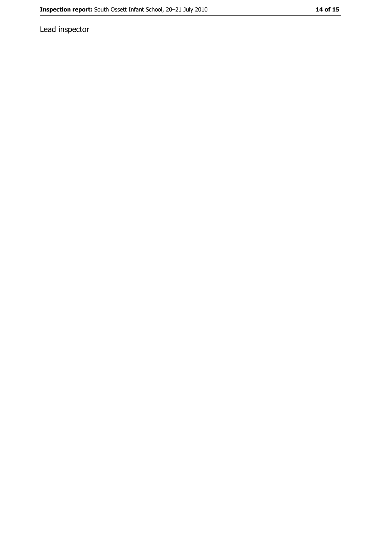Lead inspector